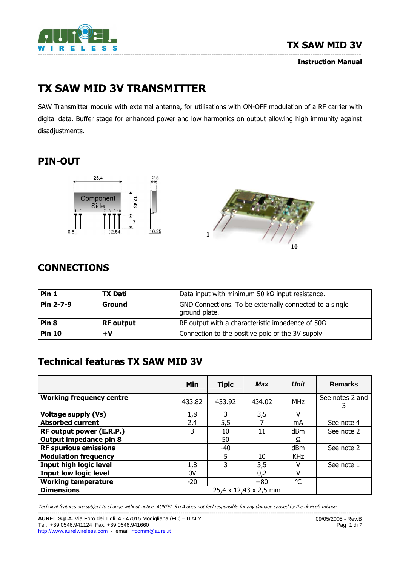

Instruction Manual

# TX SAW MID 3V TRANSMITTER

SAW Transmitter module with external antenna, for utilisations with ON-OFF modulation of a RF carrier with digital data. Buffer stage for enhanced power and low harmonics on output allowing high immunity against disadjustments.

# PIN-OUT





# **CONNECTIONS**

| Pin 1            | <b>TX Dati</b>   | Data input with minimum 50 kΩ input resistance.                          |  |  |  |
|------------------|------------------|--------------------------------------------------------------------------|--|--|--|
| Pin 2-7-9        | <b>Ground</b>    | GND Connections. To be externally connected to a single<br>ground plate. |  |  |  |
| Pin <sub>8</sub> | <b>RF</b> output | RF output with a characteristic impedence of $50\Omega$                  |  |  |  |
| <b>Pin 10</b>    | $+V$             | Connection to the positive pole of the 3V supply                         |  |  |  |

# Technical features TX SAW MID 3V

|                                 | Min                   | <b>Tipic</b> | Max    | <b>Unit</b>     | <b>Remarks</b>       |
|---------------------------------|-----------------------|--------------|--------|-----------------|----------------------|
| <b>Working frequency centre</b> | 433.82                | 433.92       | 434.02 | <b>MHz</b>      | See notes 2 and<br>3 |
| <b>Voltage supply (Vs)</b>      | 1,8                   | 3            | 3,5    | ٧               |                      |
| <b>Absorbed current</b>         | 2,4                   | 5,5          |        | mA              | See note 4           |
| RF output power (E.R.P.)        | 3                     | 10           | 11     | dBm             | See note 2           |
| Output impedance pin 8          |                       | 50           |        | Ω               |                      |
| <b>RF spurious emissions</b>    |                       | -40          |        | dBm             | See note 2           |
| <b>Modulation frequency</b>     |                       | 5            | 10     | <b>KHz</b>      |                      |
| <b>Input high logic level</b>   | 1,8                   | 3.           | 3,5    | V               | See note 1           |
| <b>Input low logic level</b>    | 0V                    |              | 0,2    | ٧               |                      |
| <b>Working temperature</b>      | $-20$                 |              | $+80$  | $\rm ^{\circ}C$ |                      |
| <b>Dimensions</b>               | 25,4 x 12,43 x 2,5 mm |              |        |                 |                      |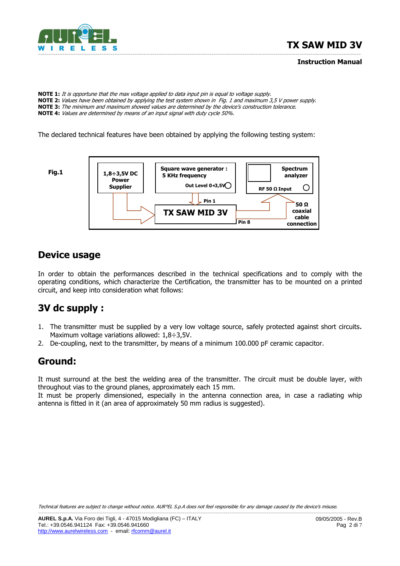

#### Instruction Manual

NOTE 1: It is opportune that the max voltage applied to data input pin is equal to voltage supply. NOTE 2: Values have been obtained by applying the test system shown in Fig. 1 and maximum 3,5 V power supply. NOTE 3: The minimum and maximum showed values are determined by the device's construction tolerance. NOTE 4: Values are determined by means of an input signal with duty cycle 50%.

The declared technical features have been obtained by applying the following testing system:



#### Device usage

In order to obtain the performances described in the technical specifications and to comply with the operating conditions, which characterize the Certification, the transmitter has to be mounted on a printed circuit, and keep into consideration what follows:

### 3V dc supply :

- 1. The transmitter must be supplied by a very low voltage source, safely protected against short circuits. Maximum voltage variations allowed: 1,8÷3,5V.
- 2. De-coupling, next to the transmitter, by means of a minimum 100.000 pF ceramic capacitor.

#### Ground:

It must surround at the best the welding area of the transmitter. The circuit must be double layer, with throughout vias to the ground planes, approximately each 15 mm.

It must be properly dimensioned, especially in the antenna connection area, in case a radiating whip antenna is fitted in it (an area of approximately 50 mm radius is suggested).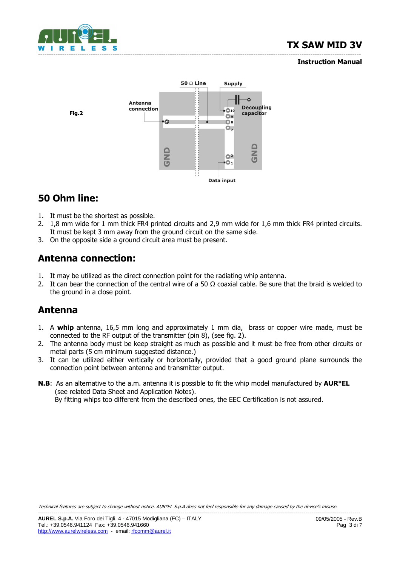

#### Instruction Manual



# 50 Ohm line:

- 1. It must be the shortest as possible.
- 2. 1,8 mm wide for 1 mm thick FR4 printed circuits and 2,9 mm wide for 1,6 mm thick FR4 printed circuits. It must be kept 3 mm away from the ground circuit on the same side.
- 3. On the opposite side a ground circuit area must be present.

### Antenna connection:

- 1. It may be utilized as the direct connection point for the radiating whip antenna.
- 2. It can bear the connection of the central wire of a 50  $\Omega$  coaxial cable. Be sure that the braid is welded to the ground in a close point.

#### Antenna

- 1. A whip antenna, 16,5 mm long and approximately 1 mm dia, brass or copper wire made, must be connected to the RF output of the transmitter (pin 8), (see fig. 2).
- 2. The antenna body must be keep straight as much as possible and it must be free from other circuits or metal parts (5 cm minimum suggested distance.)
- 3. It can be utilized either vertically or horizontally, provided that a good ground plane surrounds the connection point between antenna and transmitter output.
- **N.B:** As an alternative to the a.m. antenna it is possible to fit the whip model manufactured by **AUR°EL**  (see related Data Sheet and Application Notes). By fitting whips too different from the described ones, the EEC Certification is not assured.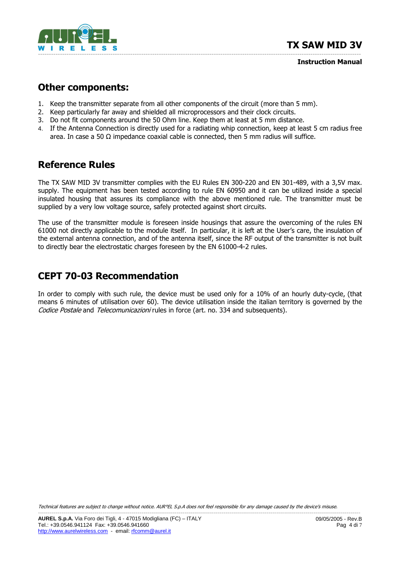

Instruction Manual

#### Other components:

- 1. Keep the transmitter separate from all other components of the circuit (more than 5 mm).
- 2. Keep particularly far away and shielded all microprocessors and their clock circuits.
- 3. Do not fit components around the 50 Ohm line. Keep them at least at 5 mm distance.
- 4. If the Antenna Connection is directly used for a radiating whip connection, keep at least 5 cm radius free area. In case a 50  $\Omega$  impedance coaxial cable is connected, then 5 mm radius will suffice.

#### Reference Rules

The TX SAW MID 3V transmitter complies with the EU Rules EN 300-220 and EN 301-489, with a 3,5V max. supply. The equipment has been tested according to rule EN 60950 and it can be utilized inside a special insulated housing that assures its compliance with the above mentioned rule. The transmitter must be supplied by a very low voltage source, safely protected against short circuits.

The use of the transmitter module is foreseen inside housings that assure the overcoming of the rules EN 61000 not directly applicable to the module itself. In particular, it is left at the User's care, the insulation of the external antenna connection, and of the antenna itself, since the RF output of the transmitter is not built to directly bear the electrostatic charges foreseen by the EN 61000-4-2 rules.

#### CEPT 70-03 Recommendation

In order to comply with such rule, the device must be used only for a 10% of an hourly duty-cycle, (that means 6 minutes of utilisation over 60). The device utilisation inside the italian territory is governed by the Codice Postale and Telecomunicazioni rules in force (art. no. 334 and subsequents).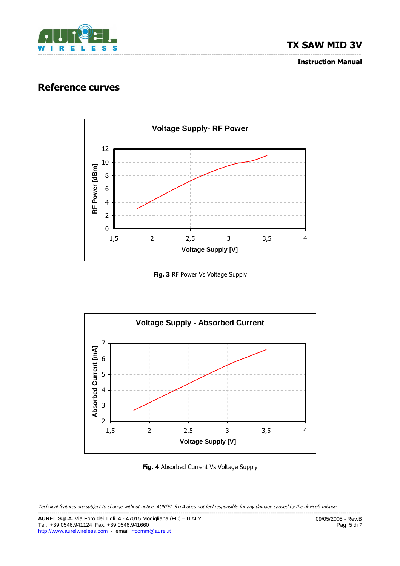

Instruction Manual

#### Reference curves



Fig. 3 RF Power Vs Voltage Supply



Fig. 4 Absorbed Current Vs Voltage Supply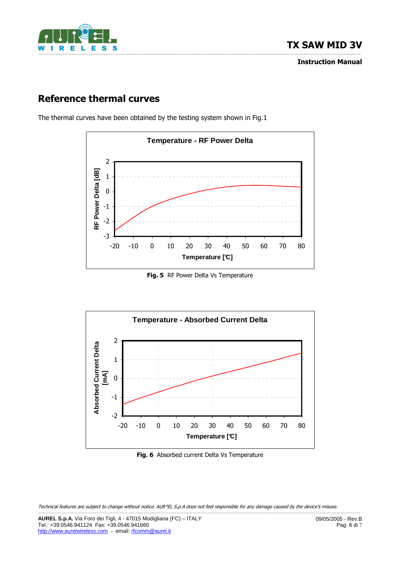

# Reference thermal curves



The thermal curves have been obtained by the testing system shown in Fig.1

Fig. 5 RF Power Delta Vs Temperature



Fig. 6 Absorbed current Delta Vs Temperature